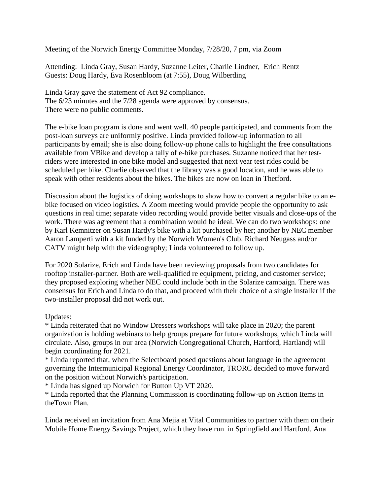Meeting of the Norwich Energy Committee Monday, 7/28/20, 7 pm, via Zoom

Attending: Linda Gray, Susan Hardy, Suzanne Leiter, Charlie Lindner, Erich Rentz Guests: Doug Hardy, Eva Rosenbloom (at 7:55), Doug Wilberding

Linda Gray gave the statement of Act 92 compliance. The 6/23 minutes and the 7/28 agenda were approved by consensus. There were no public comments.

The e-bike loan program is done and went well. 40 people participated, and comments from the post-loan surveys are uniformly positive. Linda provided follow-up information to all participants by email; she is also doing follow-up phone calls to highlight the free consultations available from VBike and develop a tally of e-bike purchases. Suzanne noticed that her testriders were interested in one bike model and suggested that next year test rides could be scheduled per bike. Charlie observed that the library was a good location, and he was able to speak with other residents about the bikes. The bikes are now on loan in Thetford.

Discussion about the logistics of doing workshops to show how to convert a regular bike to an ebike focused on video logistics. A Zoom meeting would provide people the opportunity to ask questions in real time; separate video recording would provide better visuals and close-ups of the work. There was agreement that a combination would be ideal. We can do two workshops: one by Karl Kemnitzer on Susan Hardy's bike with a kit purchased by her; another by NEC member Aaron Lamperti with a kit funded by the Norwich Women's Club. Richard Neugass and/or CATV might help with the videography; Linda volunteered to follow up.

For 2020 Solarize, Erich and Linda have been reviewing proposals from two candidates for rooftop installer-partner. Both are well-qualified re equipment, pricing, and customer service; they proposed exploring whether NEC could include both in the Solarize campaign. There was consensus for Erich and Linda to do that, and proceed with their choice of a single installer if the two-installer proposal did not work out.

Updates:

\* Linda reiterated that no Window Dressers workshops will take place in 2020; the parent organization is holding webinars to help groups prepare for future workshops, which Linda will circulate. Also, groups in our area (Norwich Congregational Church, Hartford, Hartland) will begin coordinating for 2021.

\* Linda reported that, when the Selectboard posed questions about language in the agreement governing the Intermunicipal Regional Energy Coordinator, TRORC decided to move forward on the position without Norwich's participation.

\* Linda has signed up Norwich for Button Up VT 2020.

\* Linda reported that the Planning Commission is coordinating follow-up on Action Items in theTown Plan.

Linda received an invitation from Ana Mejia at Vital Communities to partner with them on their Mobile Home Energy Savings Project, which they have run in Springfield and Hartford. Ana